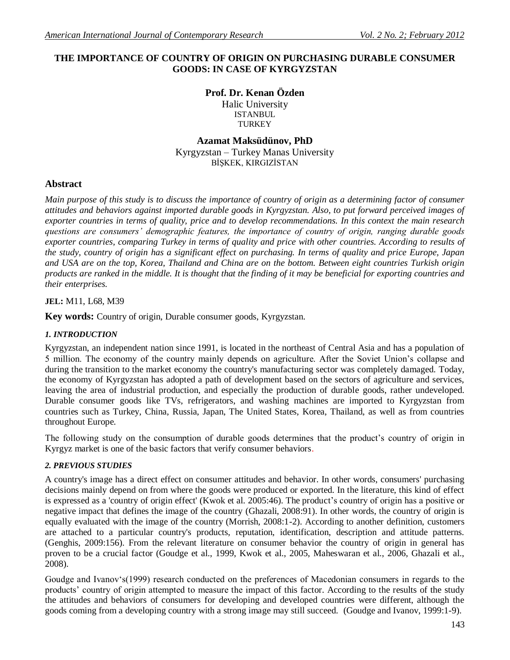# **THE IMPORTANCE OF COUNTRY OF ORIGIN ON PURCHASING DURABLE CONSUMER GOODS: IN CASE OF KYRGYZSTAN**

**Prof. Dr. Kenan Özden** Halic University **ISTANBUL TURKEY** 

**Azamat Maksüdünov, PhD** Kyrgyzstan – Turkey Manas University BİŞKEK, KIRGIZİSTAN

# **Abstract**

*Main purpose of this study is to discuss the importance of country of origin as a determining factor of consumer attitudes and behaviors against imported durable goods in Kyrgyzstan. Also, to put forward perceived images of exporter countries in terms of quality, price and to develop recommendations. In this context the main research questions are consumers' demographic features, the importance of country of origin, ranging durable goods exporter countries, comparing Turkey in terms of quality and price with other countries. According to results of the study, country of origin has a significant effect on purchasing. In terms of quality and price Europe, Japan and USA are on the top, Korea, Thailand and China are on the bottom. Between eight countries Turkish origin products are ranked in the middle. It is thought that the finding of it may be beneficial for exporting countries and their enterprises.* 

#### **JEL:** M11, L68, M39

**Key words:** Country of origin, Durable consumer goods, Kyrgyzstan.

#### *1. INTRODUCTION*

Kyrgyzstan, an independent nation since 1991, is located in the northeast of Central Asia and has a population of 5 million. The economy of the country mainly depends on agriculture. After the Soviet Union's collapse and during the transition to the market economy the country's manufacturing sector was completely damaged. Today, the economy of Kyrgyzstan has adopted a path of development based on the sectors of agriculture and services, leaving the area of industrial production, and especially the production of durable goods, rather undeveloped. Durable consumer goods like TVs, refrigerators, and washing machines are imported to Kyrgyzstan from countries such as Turkey, China, Russia, Japan, The United States, Korea, Thailand, as well as from countries throughout Europe.

The following study on the consumption of durable goods determines that the product's country of origin in Kyrgyz market is one of the basic factors that verify consumer behaviors.

#### *2. PREVIOUS STUDIES*

A country's image has a direct effect on consumer attitudes and behavior. In other words, consumers' purchasing decisions mainly depend on from where the goods were produced or exported. In the literature, this kind of effect is expressed as a 'country of origin effect' (Kwok et al. 2005:46). The product's country of origin has a positive or negative impact that defines the image of the country (Ghazali, 2008:91). In other words, the country of origin is equally evaluated with the image of the country (Morrish, 2008:1-2). According to another definition, customers are attached to a particular country's products, reputation, identification, description and attitude patterns. (Genghis, 2009:156). From the relevant literature on consumer behavior the country of origin in general has proven to be a crucial factor (Goudge et al., 1999, Kwok et al., 2005, Maheswaran et al., 2006, Ghazali et al., 2008).

Goudge and Ivanov's(1999) research conducted on the preferences of Macedonian consumers in regards to the products' country of origin attempted to measure the impact of this factor. According to the results of the study the attitudes and behaviors of consumers for developing and developed countries were different, although the goods coming from a developing country with a strong image may still succeed. (Goudge and Ivanov, 1999:1-9).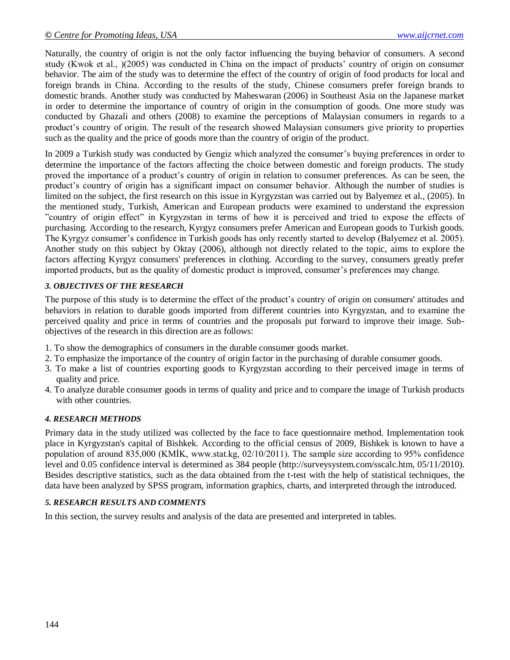Naturally, the country of origin is not the only factor influencing the buying behavior of consumers. A second study (Kwok et al., )(2005) was conducted in China on the impact of products' country of origin on consumer behavior. The aim of the study was to determine the effect of the country of origin of food products for local and foreign brands in China. According to the results of the study, Chinese consumers prefer foreign brands to domestic brands. Another study was conducted by Maheswaran (2006) in Southeast Asia on the Japanese market in order to determine the importance of country of origin in the consumption of goods. One more study was conducted by Ghazali and others (2008) to examine the perceptions of Malaysian consumers in regards to a product's country of origin. The result of the research showed Malaysian consumers give priority to properties such as the quality and the price of goods more than the country of origin of the product.

In 2009 a Turkish study was conducted by Gengiz which analyzed the consumer's buying preferences in order to determine the importance of the factors affecting the choice between domestic and foreign products. The study proved the importance of a product's country of origin in relation to consumer preferences. As can be seen, the product's country of origin has a significant impact on consumer behavior. Although the number of studies is limited on the subject, the first research on this issue in Kyrgyzstan was carried out by Balyemez et al., (2005). In the mentioned study, Turkish, American and European products were examined to understand the expression "country of origin effect" in Kyrgyzstan in terms of how it is perceived and tried to expose the effects of purchasing. According to the research, Kyrgyz consumers prefer American and European goods to Turkish goods. The Kyrgyz consumer's confidence in Turkish goods has only recently started to develop (Balyemez et al. 2005). Another study on this subject by Oktay (2006), although not directly related to the topic, aims to explore the factors affecting Kyrgyz consumers' preferences in clothing. According to the survey, consumers greatly prefer imported products, but as the quality of domestic product is improved, consumer's preferences may change.

# *3. OBJECTIVES OF THE RESEARCH*

The purpose of this study is to determine the effect of the product's country of origin on consumers' attitudes and behaviors in relation to durable goods imported from different countries into Kyrgyzstan, and to examine the perceived quality and price in terms of countries and the proposals put forward to improve their image. Subobjectives of the research in this direction are as follows:

- 1. To show the demographics of consumers in the durable consumer goods market.
- 2. To emphasize the importance of the country of origin factor in the purchasing of durable consumer goods.
- 3. To make a list of countries exporting goods to Kyrgyzstan according to their perceived image in terms of quality and price.
- 4. To analyze durable consumer goods in terms of quality and price and to compare the image of Turkish products with other countries.

# *4. RESEARCH METHODS*

Primary data in the study utilized was collected by the face to face questionnaire method. Implementation took place in Kyrgyzstan's capital of Bishkek. According to the official census of 2009, Bishkek is known to have a population of around 835,000 (KMİK, www.stat.kg, 02/10/2011). The sample size according to 95% confidence level and 0.05 confidence interval is determined as 384 people (http://surveysystem.com/sscalc.htm, 05/11/2010). Besides descriptive statistics, such as the data obtained from the t-test with the help of statistical techniques, the data have been analyzed by SPSS program, information graphics, charts, and interpreted through the introduced.

# *5. RESEARCH RESULTS AND COMMENTS*

In this section, the survey results and analysis of the data are presented and interpreted in tables.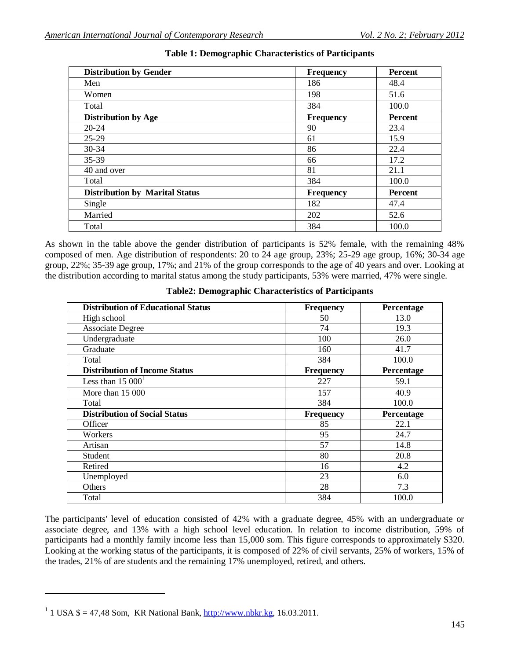| <b>Distribution by Gender</b>         | <b>Frequency</b> | Percent        |
|---------------------------------------|------------------|----------------|
| Men                                   | 186              | 48.4           |
| Women                                 | 198              | 51.6           |
| Total                                 | 384              | 100.0          |
| <b>Distribution by Age</b>            | <b>Frequency</b> | <b>Percent</b> |
| $20 - 24$                             | 90               | 23.4           |
| 25-29                                 | 61               | 15.9           |
| $30 - 34$                             | 86               | 22.4           |
| 35-39                                 | 66               | 17.2           |
| 40 and over                           | 81               | 21.1           |
| Total                                 | 384              | 100.0          |
| <b>Distribution by Marital Status</b> | <b>Frequency</b> | <b>Percent</b> |
| Single                                | 182              | 47.4           |
| Married                               | 202              | 52.6           |
| Total                                 | 384              | 100.0          |

### **Table 1: Demographic Characteristics of Participants**

As shown in the table above the gender distribution of participants is 52% female, with the remaining 48% composed of men. Age distribution of respondents: 20 to 24 age group, 23%; 25-29 age group, 16%; 30-34 age group, 22%; 35-39 age group, 17%; and 21% of the group corresponds to the age of 40 years and over. Looking at the distribution according to marital status among the study participants, 53% were married, 47% were single.

| <b>Distribution of Educational Status</b> | <b>Frequency</b> | Percentage |
|-------------------------------------------|------------------|------------|
| High school                               | 50               | 13.0       |
| <b>Associate Degree</b>                   | 74               | 19.3       |
| Undergraduate                             | 100              | 26.0       |
| Graduate                                  | 160              | 41.7       |
| Total                                     | 384              | 100.0      |
| <b>Distribution of Income Status</b>      | <b>Frequency</b> | Percentage |
| Less than $150001$                        | 227              | 59.1       |
| More than 15 000                          | 157              | 40.9       |
| Total                                     | 384              | 100.0      |
| <b>Distribution of Social Status</b>      | <b>Frequency</b> | Percentage |
| Officer                                   | 85               | 22.1       |
| Workers                                   | 95               | 24.7       |
| Artisan                                   | 57               | 14.8       |
| Student                                   | 80               | 20.8       |
| Retired                                   | 16               | 4.2        |
| Unemployed                                | 23               | 6.0        |
| Others                                    | 28               | 7.3        |
| Total                                     | 384              | 100.0      |

### **Table2: Demographic Characteristics of Participants**

The participants' level of education consisted of 42% with a graduate degree, 45% with an undergraduate or associate degree, and 13% with a high school level education. In relation to income distribution, 59% of participants had a monthly family income less than 15,000 som. This figure corresponds to approximately \$320. Looking at the working status of the participants, it is composed of 22% of civil servants, 25% of workers, 15% of the trades, 21% of are students and the remaining 17% unemployed, retired, and others.

 $\overline{a}$ 

<sup>&</sup>lt;sup>1</sup> 1 USA  $\$ = 47,48$  Som, KR National Bank,  $\frac{http://www.nbkr.kg}{http://www.nbkr.kg}, 16.03.2011$ .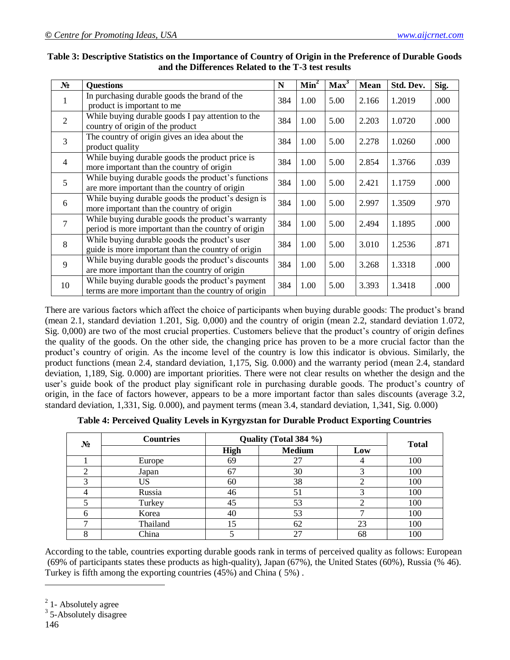| $N_2$          | <b>Questions</b>                                                                                         | N   | Min <sup>2</sup> | Max <sup>3</sup> | <b>Mean</b> | Std. Dev. | Sig. |
|----------------|----------------------------------------------------------------------------------------------------------|-----|------------------|------------------|-------------|-----------|------|
| 1              | In purchasing durable goods the brand of the<br>product is important to me                               | 384 | 1.00             | 5.00             | 2.166       | 1.2019    | .000 |
| 2              | While buying durable goods I pay attention to the<br>country of origin of the product                    | 384 | 1.00             | 5.00             | 2.203       | 1.0720    | .000 |
| 3              | The country of origin gives an idea about the<br>product quality                                         | 384 | 1.00             | 5.00             | 2.278       | 1.0260    | .000 |
| $\overline{4}$ | While buying durable goods the product price is<br>more important than the country of origin             | 384 | 1.00             | 5.00             | 2.854       | 1.3766    | .039 |
| 5              | While buying durable goods the product's functions<br>are more important than the country of origin      | 384 | 1.00             | 5.00             | 2.421       | 1.1759    | .000 |
| 6              | While buying durable goods the product's design is<br>more important than the country of origin          | 384 | 1.00             | 5.00             | 2.997       | 1.3509    | .970 |
| $\overline{7}$ | While buying durable goods the product's warranty<br>period is more important than the country of origin | 384 | 1.00             | 5.00             | 2.494       | 1.1895    | .000 |
| 8              | While buying durable goods the product's user<br>guide is more important than the country of origin      | 384 | 1.00             | 5.00             | 3.010       | 1.2536    | .871 |
| 9              | While buying durable goods the product's discounts<br>are more important than the country of origin      | 384 | 1.00             | 5.00             | 3.268       | 1.3318    | .000 |
| 10             | While buying durable goods the product's payment<br>terms are more important than the country of origin  | 384 | 1.00             | 5.00             | 3.393       | 1.3418    | .000 |

### **Table 3: Descriptive Statistics on the Importance of Country of Origin in the Preference of Durable Goods and the Differences Related to the T-3 test results**

There are various factors which affect the choice of participants when buying durable goods: The product's brand (mean 2.1, standard deviation 1.201, Sig. 0,000) and the country of origin (mean 2.2, standard deviation 1.072, Sig. 0,000) are two of the most crucial properties. Customers believe that the product's country of origin defines the quality of the goods. On the other side, the changing price has proven to be a more crucial factor than the product's country of origin. As the income level of the country is low this indicator is obvious. Similarly, the product functions (mean 2.4, standard deviation, 1,175, Sig. 0.000) and the warranty period (mean 2.4, standard deviation, 1,189, Sig. 0.000) are important priorities. There were not clear results on whether the design and the user's guide book of the product play significant role in purchasing durable goods. The product's country of origin, in the face of factors however, appears to be a more important factor than sales discounts (average 3.2, standard deviation, 1,331, Sig. 0.000), and payment terms (mean 3.4, standard deviation, 1,341, Sig. 0.000)

| $N_2$ | <b>Countries</b> | Quality (Total 384 %) | <b>Total</b>  |     |     |
|-------|------------------|-----------------------|---------------|-----|-----|
|       |                  | High                  | <b>Medium</b> | Low |     |
|       | Europe           | 69                    | 27            |     | 100 |
|       | Japan            | 67                    | 30            |     | 100 |
|       | US               | 60                    | 38            |     | 100 |
|       | Russia           | 46                    | 51            |     | 100 |
|       | Turkey           | 45                    | 53            |     | 100 |
| 6     | Korea            | 40                    | 53            |     | 100 |
|       | Thailand         | 15                    | 62            | 23  | 100 |
|       | China            |                       | 27            | 68  | 100 |

According to the table, countries exporting durable goods rank in terms of perceived quality as follows: European (69% of participants states these products as high-quality), Japan (67%), the United States (60%), Russia (% 46). Turkey is fifth among the exporting countries (45%) and China ( 5%) .

 $\overline{a}$ 

 $2$  1- Absolutely agree

<sup>&</sup>lt;sup>3</sup> 5-Absolutely disagree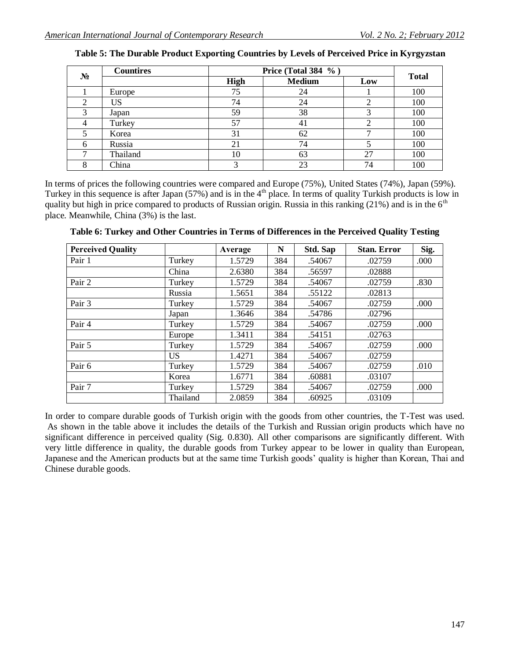| No | <b>Countires</b> | Price (Total 384 %) | <b>Total</b>  |     |     |
|----|------------------|---------------------|---------------|-----|-----|
|    |                  | <b>High</b>         | <b>Medium</b> | Low |     |
|    | Europe           | 75                  | 24            |     | 100 |
|    | US               | 74                  | 24            |     | 100 |
|    | Japan            | 59                  | 38            |     | 100 |
|    | Turkey           | 57                  | 41            |     | 100 |
|    | Korea            | 31                  | 62            |     | 100 |
| 6  | Russia           | 21                  | 74            |     | 100 |
|    | Thailand         | 10                  | 63            | 27  | 100 |
|    | China            |                     | 23            | 74  | 100 |

| Table 5: The Durable Product Exporting Countries by Levels of Perceived Price in Kyrgyzstan |  |  |  |
|---------------------------------------------------------------------------------------------|--|--|--|
|---------------------------------------------------------------------------------------------|--|--|--|

In terms of prices the following countries were compared and Europe (75%), United States (74%), Japan (59%). Turkey in this sequence is after Japan (57%) and is in the 4<sup>th</sup> place. In terms of quality Turkish products is low in quality but high in price compared to products of Russian origin. Russia in this ranking (21%) and is in the  $6<sup>th</sup>$ place. Meanwhile, China (3%) is the last.

| <b>Perceived Quality</b> |          | Average | N   | Std. Sap | <b>Stan. Error</b> | Sig. |
|--------------------------|----------|---------|-----|----------|--------------------|------|
| Pair 1                   | Turkey   | 1.5729  | 384 | .54067   | .02759             | .000 |
|                          | China    | 2.6380  | 384 | .56597   | .02888             |      |
| Pair 2                   | Turkey   | 1.5729  | 384 | .54067   | .02759             | .830 |
|                          | Russia   | 1.5651  | 384 | .55122   | .02813             |      |
| Pair 3                   | Turkey   | 1.5729  | 384 | .54067   | .02759             | .000 |
|                          | Japan    | 1.3646  | 384 | .54786   | .02796             |      |
| Pair 4                   | Turkey   | 1.5729  | 384 | .54067   | .02759             | .000 |
|                          | Europe   | 1.3411  | 384 | .54151   | .02763             |      |
| Pair 5                   | Turkey   | 1.5729  | 384 | .54067   | .02759             | .000 |
|                          | US       | 1.4271  | 384 | .54067   | .02759             |      |
| Pair 6                   | Turkey   | 1.5729  | 384 | .54067   | .02759             | .010 |
|                          | Korea    | 1.6771  | 384 | .60881   | .03107             |      |
| Pair 7                   | Turkey   | 1.5729  | 384 | .54067   | .02759             | .000 |
|                          | Thailand | 2.0859  | 384 | .60925   | .03109             |      |

**Table 6: Turkey and Other Countries in Terms of Differences in the Perceived Quality Testing**

In order to compare durable goods of Turkish origin with the goods from other countries, the T-Test was used. As shown in the table above it includes the details of the Turkish and Russian origin products which have no significant difference in perceived quality (Sig. 0.830). All other comparisons are significantly different. With very little difference in quality, the durable goods from Turkey appear to be lower in quality than European, Japanese and the American products but at the same time Turkish goods' quality is higher than Korean, Thai and Chinese durable goods.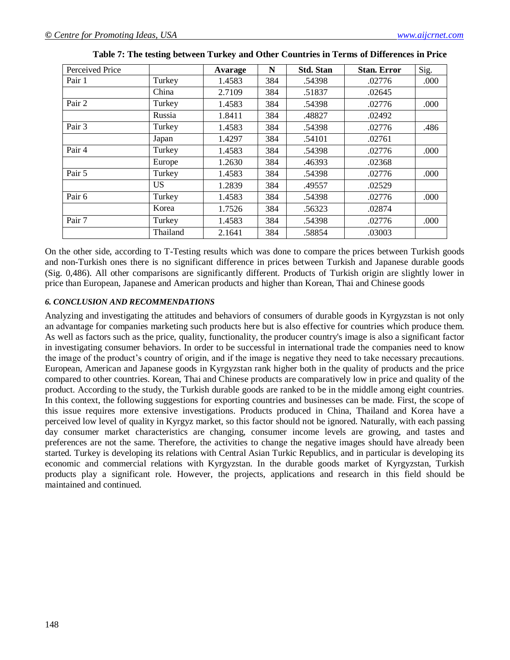| Perceived Price |           | Avarage | N   | <b>Std. Stan</b> | <b>Stan. Error</b> | Sig. |
|-----------------|-----------|---------|-----|------------------|--------------------|------|
| Pair 1          | Turkey    | 1.4583  | 384 | .54398           | .02776             | .000 |
|                 | China     | 2.7109  | 384 | .51837           | .02645             |      |
| Pair 2          | Turkey    | 1.4583  | 384 | .54398           | .02776             | .000 |
|                 | Russia    | 1.8411  | 384 | .48827           | .02492             |      |
| Pair 3          | Turkey    | 1.4583  | 384 | .54398           | .02776             | .486 |
|                 | Japan     | 1.4297  | 384 | .54101           | .02761             |      |
| Pair 4          | Turkey    | 1.4583  | 384 | .54398           | .02776             | .000 |
|                 | Europe    | 1.2630  | 384 | .46393           | .02368             |      |
| Pair 5          | Turkey    | 1.4583  | 384 | .54398           | .02776             | .000 |
|                 | <b>US</b> | 1.2839  | 384 | .49557           | .02529             |      |
| Pair 6          | Turkey    | 1.4583  | 384 | .54398           | .02776             | .000 |
|                 | Korea     | 1.7526  | 384 | .56323           | .02874             |      |
| Pair 7          | Turkey    | 1.4583  | 384 | .54398           | .02776             | .000 |
|                 | Thailand  | 2.1641  | 384 | .58854           | .03003             |      |

| Table 7: The testing between Turkey and Other Countries in Terms of Differences in Price |  |  |  |
|------------------------------------------------------------------------------------------|--|--|--|
|------------------------------------------------------------------------------------------|--|--|--|

On the other side, according to T-Testing results which was done to compare the prices between Turkish goods and non-Turkish ones there is no significant difference in prices between Turkish and Japanese durable goods (Sig. 0,486). All other comparisons are significantly different. Products of Turkish origin are slightly lower in price than European, Japanese and American products and higher than Korean, Thai and Chinese goods

### *6. CONCLUSION AND RECOMMENDATIONS*

Analyzing and investigating the attitudes and behaviors of consumers of durable goods in Kyrgyzstan is not only an advantage for companies marketing such products here but is also effective for countries which produce them. As well as factors such as the price, quality, functionality, the producer country's image is also a significant factor in investigating consumer behaviors. In order to be successful in international trade the companies need to know the image of the product's country of origin, and if the image is negative they need to take necessary precautions. European, American and Japanese goods in Kyrgyzstan rank higher both in the quality of products and the price compared to other countries. Korean, Thai and Chinese products are comparatively low in price and quality of the product. According to the study, the Turkish durable goods are ranked to be in the middle among eight countries. In this context, the following suggestions for exporting countries and businesses can be made. First, the scope of this issue requires more extensive investigations. Products produced in China, Thailand and Korea have a perceived low level of quality in Kyrgyz market, so this factor should not be ignored. Naturally, with each passing day consumer market characteristics are changing, consumer income levels are growing, and tastes and preferences are not the same. Therefore, the activities to change the negative images should have already been started. Turkey is developing its relations with Central Asian Turkic Republics, and in particular is developing its economic and commercial relations with Kyrgyzstan. In the durable goods market of Kyrgyzstan, Turkish products play a significant role. However, the projects, applications and research in this field should be maintained and continued.